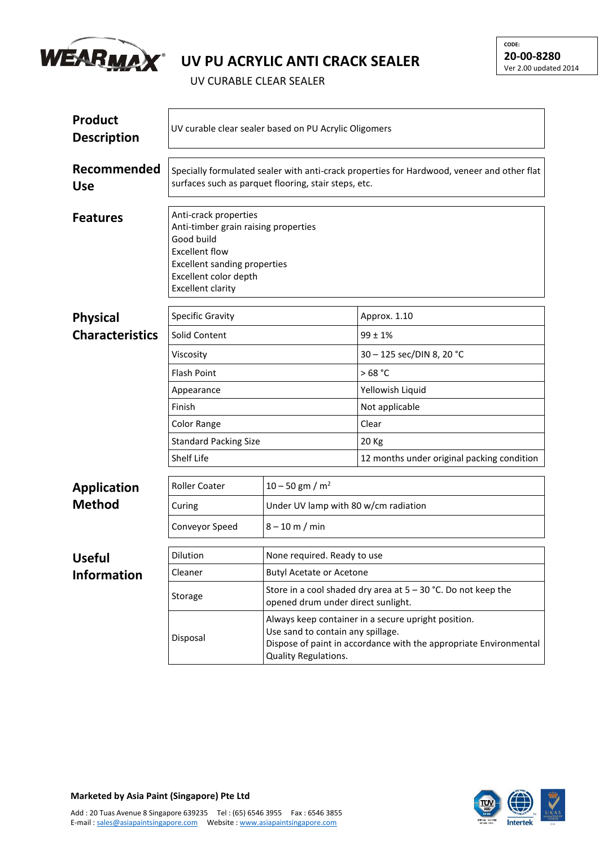

## **UV PU ACRYLIC ANTI CRACK SEALER**

**CODE: 20-00-8280** Ver 2.00 updated 2014

UV CURABLE CLEAR SEALER

| <b>Product</b><br><b>Description</b> | UV curable clear sealer based on PU Acrylic Oligomers                                                                                                                                            |                                                                                                                                                                                              |                                            |  |  |
|--------------------------------------|--------------------------------------------------------------------------------------------------------------------------------------------------------------------------------------------------|----------------------------------------------------------------------------------------------------------------------------------------------------------------------------------------------|--------------------------------------------|--|--|
| Recommended<br><b>Use</b>            | Specially formulated sealer with anti-crack properties for Hardwood, veneer and other flat<br>surfaces such as parquet flooring, stair steps, etc.                                               |                                                                                                                                                                                              |                                            |  |  |
| <b>Features</b>                      | Anti-crack properties<br>Anti-timber grain raising properties<br>Good build<br><b>Excellent flow</b><br><b>Excellent sanding properties</b><br>Excellent color depth<br><b>Excellent clarity</b> |                                                                                                                                                                                              |                                            |  |  |
| <b>Physical</b>                      | <b>Specific Gravity</b>                                                                                                                                                                          |                                                                                                                                                                                              | Approx. 1.10                               |  |  |
| <b>Characteristics</b>               | Solid Content                                                                                                                                                                                    |                                                                                                                                                                                              | $99 \pm 1\%$                               |  |  |
|                                      | Viscosity                                                                                                                                                                                        |                                                                                                                                                                                              | 30 - 125 sec/DIN 8, 20 °C                  |  |  |
|                                      | <b>Flash Point</b>                                                                                                                                                                               |                                                                                                                                                                                              | >68 °C                                     |  |  |
|                                      | Appearance<br>Finish                                                                                                                                                                             |                                                                                                                                                                                              | Yellowish Liquid                           |  |  |
|                                      |                                                                                                                                                                                                  |                                                                                                                                                                                              | Not applicable                             |  |  |
|                                      | Color Range                                                                                                                                                                                      |                                                                                                                                                                                              | Clear                                      |  |  |
|                                      | <b>Standard Packing Size</b>                                                                                                                                                                     |                                                                                                                                                                                              | 20 Kg                                      |  |  |
|                                      | Shelf Life                                                                                                                                                                                       |                                                                                                                                                                                              | 12 months under original packing condition |  |  |
| <b>Application</b>                   | <b>Roller Coater</b>                                                                                                                                                                             | $10 - 50$ gm / m <sup>2</sup>                                                                                                                                                                |                                            |  |  |
| <b>Method</b>                        | Curing                                                                                                                                                                                           | Under UV lamp with 80 w/cm radiation                                                                                                                                                         |                                            |  |  |
|                                      | Conveyor Speed                                                                                                                                                                                   | $8 - 10$ m / min                                                                                                                                                                             |                                            |  |  |
| <b>Useful</b>                        | Dilution                                                                                                                                                                                         | None required. Ready to use                                                                                                                                                                  |                                            |  |  |
| <b>Information</b>                   | Cleaner                                                                                                                                                                                          | <b>Butyl Acetate or Acetone</b>                                                                                                                                                              |                                            |  |  |
|                                      | Storage                                                                                                                                                                                          | Store in a cool shaded dry area at $5 - 30$ °C. Do not keep the<br>opened drum under direct sunlight.                                                                                        |                                            |  |  |
|                                      | Disposal                                                                                                                                                                                         | Always keep container in a secure upright position.<br>Use sand to contain any spillage.<br>Dispose of paint in accordance with the appropriate Environmental<br><b>Quality Regulations.</b> |                                            |  |  |